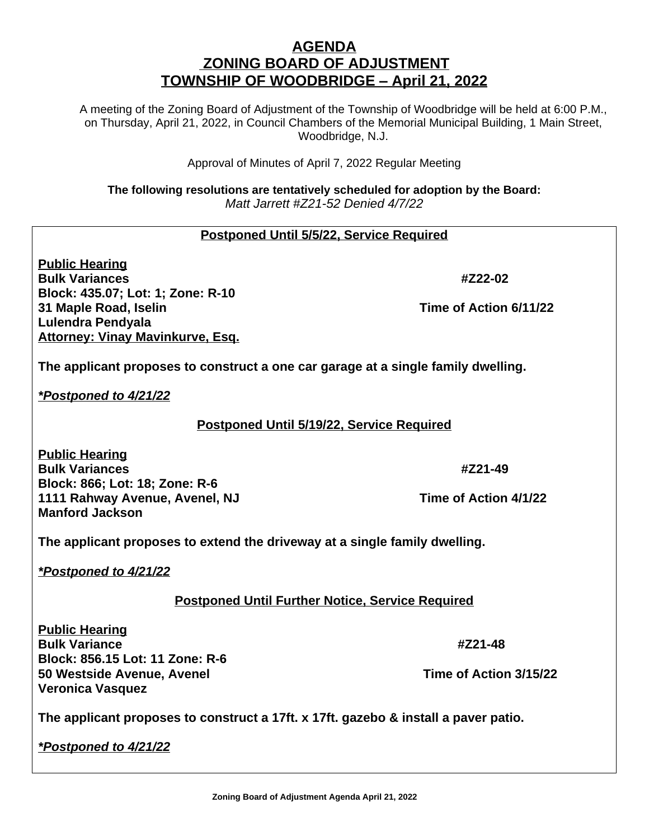# **AGENDA ZONING BOARD OF ADJUSTMENT TOWNSHIP OF WOODBRIDGE – April 21, 2022**

A meeting of the Zoning Board of Adjustment of the Township of Woodbridge will be held at 6:00 P.M., on Thursday, April 21, 2022, in Council Chambers of the Memorial Municipal Building, 1 Main Street, Woodbridge, N.J.

Approval of Minutes of April 7, 2022 Regular Meeting

**The following resolutions are tentatively scheduled for adoption by the Board:** *Matt Jarrett #Z21-52 Denied 4/7/22*

# **Postponed Until 5/5/22, Service Required**

**Public Hearing Bulk Variances #Z22-02 Block: 435.07; Lot: 1; Zone: R-10 31 Maple Road, Iselin Time of Action 6/11/22 Lulendra Pendyala Attorney: Vinay Mavinkurve, Esq.**

**The applicant proposes to construct a one car garage at a single family dwelling.**

*\*Postponed to 4/21/22*

### **Postponed Until 5/19/22, Service Required**

**Public Hearing Bulk Variances #Z21-49 Block: 866; Lot: 18; Zone: R-6 1111 Rahway Avenue, Avenel, NJ Time of Action 4/1/22 Manford Jackson**

**The applicant proposes to extend the driveway at a single family dwelling.**

*\*Postponed to 4/21/22*

### **Postponed Until Further Notice, Service Required**

**Public Hearing Bulk Variance #Z21-48 Block: 856.15 Lot: 11 Zone: R-6 50 Westside Avenue, Avenel Time of Action 3/15/22 Veronica Vasquez**

**The applicant proposes to construct a 17ft. x 17ft. gazebo & install a paver patio.**

*\*Postponed to 4/21/22*